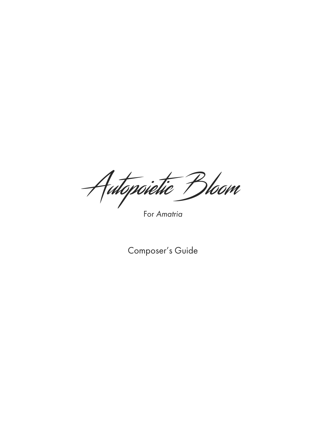Autopoietic Bloom

For *Amatria*

Composer's Guide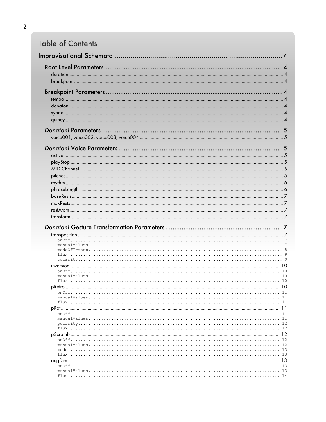# **Table of Contents**

| $onOff.$ . |             |
|------------|-------------|
|            | 10<br>- 10  |
|            |             |
|            | -11         |
|            |             |
|            |             |
|            |             |
|            |             |
|            |             |
|            |             |
|            |             |
|            | 12          |
|            | -12         |
|            | -13<br>- 13 |
|            |             |
|            |             |
|            |             |
|            |             |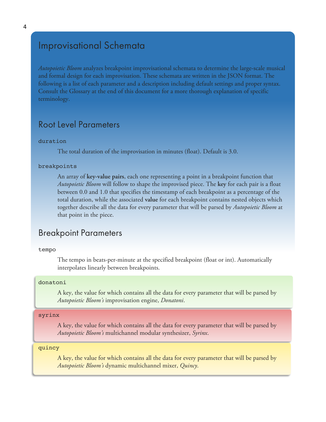## Improvisational Schemata

*Autopoietic Bloom* analyzes breakpoint improvisational schemata to determine the large-scale musical and formal design for each improvisation. These schemata are written in the JSON format. The following is a list of each parameter and a description including default settings and proper syntax. Consult the Glossary at the end of this document for a more thorough explanation of specific terminology.

## Root Level Parameters

### duration

The total duration of the improvisation in minutes (float). Default is 3.0.

### breakpoints

An array of **key-value pairs**, each one representing a point in a breakpoint function that *Autopoietic Bloom* will follow to shape the improvised piece. The **key** for each pair is a float between 0.0 and 1.0 that specifies the timestamp of each breakpoint as a percentage of the total duration, while the associated **value** for each breakpoint contains nested objects which together describe all the data for every parameter that will be parsed by *Autopoietic Bloom* at that point in the piece.

## Breakpoint Parameters

### tempo

The tempo in beats-per-minute at the specified breakpoint (float or int). Automatically interpolates linearly between breakpoints.

### donatoni

A key, the value for which contains all the data for every parameter that will be parsed by *Autopoietic Bloom's* improvisation engine, *Donatoni*.

#### syrinx

A key, the value for which contains all the data for every parameter that will be parsed by *Autopoietic Bloom's* multichannel modular synthesizer, *Syrinx*.

### quincy

A key, the value for which contains all the data for every parameter that will be parsed by *Autopoietic Bloom's* dynamic multichannel mixer, *Quincy*.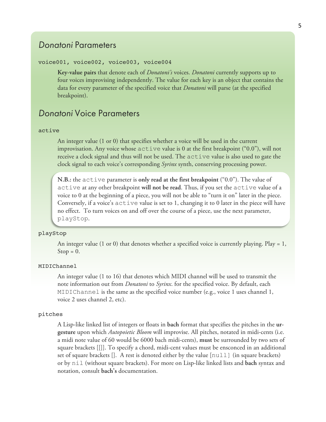## *Donatoni* Parameters

### voice001, voice002, voice003, voice004

**Key-value pairs** that denote each of *Donatoni's* voices. *Donatoni* currently supports up to four voices improvising independently. The value for each key is an object that contains the data for every parameter of the specified voice that *Donatoni* will parse (at the specified breakpoint).

## *Donatoni* Voice Parameters

#### active

An integer value (1 or 0) that specifies whether a voice will be used in the current improvisation. Any voice whose active value is 0 at the first breakpoint ("0.0"), will not receive a clock signal and thus will not be used. The active value is also used to gate the clock signal to each voice's corresponding *Syrinx* synth, conserving processing power.

**N.B.:** the active parameter is **only read at the first breakpoint** ("0.0"). The value of active at any other breakpoint **will not be read**. Thus, if you set the active value of a voice to 0 at the beginning of a piece, you will not be able to "turn it on" later in the piece. Conversely, if a voice's active value is set to 1, changing it to 0 later in the piece will have no effect. To turn voices on and off over the course of a piece, use the next parameter, playStop.

#### playStop

An integer value (1 or 0) that denotes whether a specified voice is currently playing. Play = 1,  $Stop = 0.$ 

### MIDIChannel

An integer value (1 to 16) that denotes which MIDI channel will be used to transmit the note information out from *Donatoni* to *Syrinx*. for the specified voice. By default, each MIDIChannel is the same as the specified voice number (e.g., voice 1 uses channel 1, voice 2 uses channel 2, etc).

### pitches

A Lisp-like linked list of integers or floats in **bach** format that specifies the pitches in the **urgesture** upon which *Autopoietic Bloom* will improvise. All pitches, notated in midi-cents (i.e. a midi note value of 60 would be 6000 bach midi-cents), **must** be surrounded by two sets of square brackets [[]]. To specify a chord, midi-cent values must be ensconced in an additional set of square brackets []. A rest is denoted either by the value [null] (in square brackets) or by nil (without square brackets). For more on Lisp-like linked lists and **bach** syntax and notation, consult **bach's** documentation.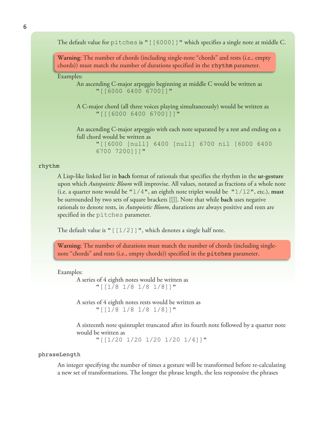The default value for pitches is " [[6000]]" which specifies a single note at middle C.

**Warning**: The number of chords (including single-note "chords" and rests (i.e., empty chords)) must match the number of durations specified in the rhythm parameter.

Examples:

An ascending C-major arpeggio beginning at middle C would be written as "[[6000 6400 6700]]"

A C-major chord (all three voices playing simultaneously) would be written as "[[[6000 6400 6700]]]"

An ascending C-major arpeggio with each note separated by a rest and ending on a full chord would be written as

"[[6000 [null] 6400 [null] 6700 nil [6000 6400 6700 7200]]]"

#### rhythm

A Lisp-like linked list in **bach** format of rationals that specifies the rhythm in the **ur-gesture** upon which *Autopoietic Bloom* will improvise. All values, notated as fractions of a whole note (i.e. a quarter note would be "1/4", an eighth note triplet would be "1/12", etc.), **must** be surrounded by two sets of square brackets [[]]. Note that while **bach** uses negative rationals to denote rests, in *Autopoietic Bloom*, durations are always positive and rests are specified in the pitches parameter.

The default value is " $[1/2]$ ]", which denotes a single half note.

**Warning:** The number of durations must match the number of chords (including singlenote "chords" and rests (i.e., empty chords)) specified in the pitches parameter.

#### Examples:

A series of 4 eighth notes would be written as "[[1/8 1/8 1/8 1/8]]"

A series of 4 eighth notes rests would be written as "[[1/8 1/8 1/8 1/8]]"

A sixteenth note quintuplet truncated after its fourth note followed by a quarter note would be written as

"[[1/20 1/20 1/20 1/20 1/4]]"

### phraseLength

An integer specifying the number of times a gesture will be transformed before re-calculating a new set of transformations. The longer the phrase length, the less responsive the phrases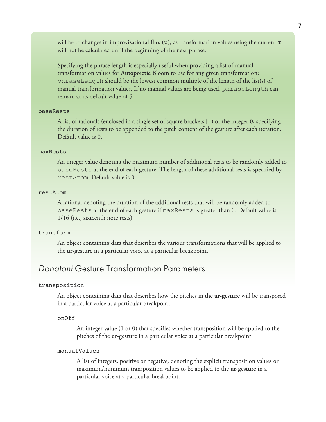will be to changes in **improvisational flux** (Φ), as transformation values using the current Φ will not be calculated until the beginning of the next phrase.

Specifying the phrase length is especially useful when providing a list of manual transformation values for **Autopoietic Bloom** to use for any given transformation; phraseLength should be the lowest common multiple of the length of the list(s) of manual transformation values. If no manual values are being used, phraseLength can remain at its default value of 5.

### baseRests

A list of rationals (enclosed in a single set of square brackets [] ) or the integer 0, specifying the duration of rests to be appended to the pitch content of the gesture after each iteration. Default value is 0.

#### maxRests

An integer value denoting the maximum number of additional rests to be randomly added to baseRests at the end of each gesture. The length of these additional rests is specified by restAtom. Default value is 0.

#### restAtom

A rational denoting the duration of the additional rests that will be randomly added to baseRests at the end of each gesture if maxRests is greater than 0. Default value is 1/16 (i.e., sixteenth note rests).

### transform

An object containing data that describes the various transformations that will be applied to the **ur-gesture** in a particular voice at a particular breakpoint.

## *Donatoni* Gesture Transformation Parameters

#### transposition

An object containing data that describes how the pitches in the **ur-gesture** will be transposed in a particular voice at a particular breakpoint.

#### onOff

An integer value (1 or 0) that specifies whether transposition will be applied to the pitches of the **ur-gesture** in a particular voice at a particular breakpoint.

### manualValues

A list of integers, positive or negative, denoting the explicit transposition values or maximum/minimum transposition values to be applied to the **ur-gesture** in a particular voice at a particular breakpoint.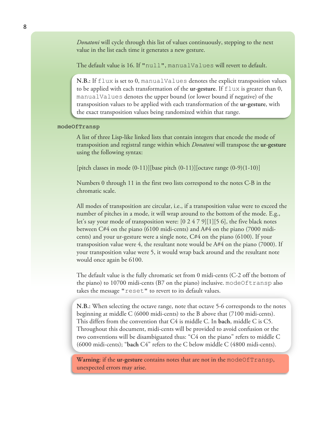*Donatoni* will cycle through this list of values continuously, stepping to the next value in the list each time it generates a new gesture.

The default value is 16. If "null", manualValues will revert to default.

**N.B.:** If flux is set to 0, manualValues denotes the explicit transposition values to be applied with each transformation of the **ur-gesture**. If  $\text{flux}$  is greater than 0, manualValues denotes the upper bound (or lower bound if negative) of the transposition values to be applied with each transformation of the **ur-gesture**, with the exact transposition values being randomized within that range.

### modeOfTransp

A list of three Lisp-like linked lists that contain integers that encode the mode of transposition and registral range within which *Donatoni* will transpose the **ur-gesture** using the following syntax:

[pitch classes in mode  $(0-11)$ ][base pitch  $(0-11)$ ][octave range  $(0-9)(1-10)$ ]

Numbers 0 through 11 in the first two lists correspond to the notes C-B in the chromatic scale.

All modes of transposition are circular, i.e., if a transposition value were to exceed the number of pitches in a mode, it will wrap around to the bottom of the mode. E.g., let's say your mode of transposition were:  $[0 2 4 7 9][1][5 6]$ , the five black notes between C#4 on the piano (6100 midi-cents) and A#4 on the piano (7000 midicents) and your ur-gesture were a single note, C#4 on the piano (6100). If your transposition value were 4, the resultant note would be  $A#4$  on the piano (7000). If your transposition value were 5, it would wrap back around and the resultant note would once again be 6100.

The default value is the fully chromatic set from 0 midi-cents (C-2 off the bottom of the piano) to 10700 midi-cents (B7 on the piano) inclusive. modeOftransp also takes the message "reset" to revert to its default values.

**N.B.:** When selecting the octave range, note that octave 5-6 corresponds to the notes beginning at middle C (6000 midi-cents) to the B above that (7100 midi-cents). This differs from the convention that C4 is middle C. In **bach**, middle C is C5. Throughout this document, midi-cents will be provided to avoid confusion or the two conventions will be disambiguated thus: "C4 on the piano" refers to middle C (6000 midi-cents); "**bach** C4" refers to the C below middle C (4800 midi-cents).

**Warning**: if the **ur-gesture** contains notes that are not in the modeOfTransp, unexpected errors may arise.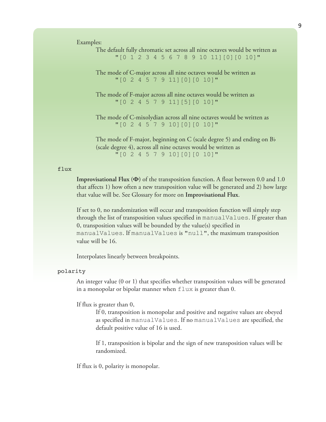Examples:

| The default fully chromatic set across all nine octaves would be written as |  |
|-----------------------------------------------------------------------------|--|
| "[0 1 2 3 4 5 6 7 8 9 10 11] [0] [0 10]"                                    |  |
| The mode of C-major across all nine octaves would be written as             |  |
| " [0 2 4 5 7 9 11] [0] [0 10]"                                              |  |
|                                                                             |  |
| The mode of F-major across all nine octaves would be written as             |  |
| " [0 2 4 5 7 9 11] [5] [0 10]"                                              |  |
|                                                                             |  |
| The mode of C-mixolydian across all nine octaves would be written as        |  |
| "[0 2 4 5 7 9 10] [0] [0 10] "                                              |  |
|                                                                             |  |
| The mode of F-major, beginning on C (scale degree 5) and ending on $B$      |  |
| (scale degree 4), across all nine octaves would be written as               |  |
| "[0 2 4 5 7 9 10] [0] [0 10] "                                              |  |

#### flux

**Improvisational Flux (Φ)** of the transposition function**.** A float between 0.0 and 1.0 that affects 1) how often a new transposition value will be generated and 2) how large that value will be. See Glossary for more on **Improvisational Flux**.

If set to 0, no randomization will occur and transposition function will simply step through the list of transposition values specified in manualValues. If greater than 0, transposition values will be bounded by the value(s) specified in manualValues. If manualValues is "null", the maximum transposition value will be 16.

Interpolates linearly between breakpoints.

#### polarity

An integer value (0 or 1) that specifies whether transposition values will be generated in a monopolar or bipolar manner when  $f$ lux is greater than 0.

#### If flux is greater than 0,

If 0, transposition is monopolar and positive and negative values are obeyed as specified in manualValues. If no manualValues are specified, the default positive value of 16 is used.

If 1, transposition is bipolar and the sign of new transposition values will be randomized.

If flux is 0, polarity is monopolar.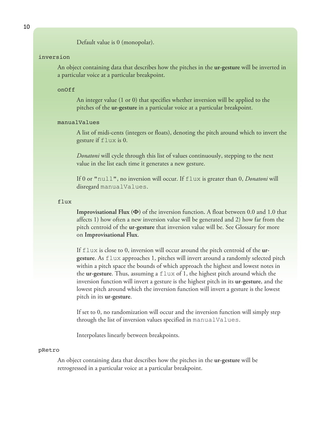Default value is 0 (monopolar).

#### inversion

An object containing data that describes how the pitches in the **ur-gesture** will be inverted in a particular voice at a particular breakpoint.

#### onOff

An integer value (1 or 0) that specifies whether inversion will be applied to the pitches of the **ur-gesture** in a particular voice at a particular breakpoint.

### manualValues

A list of midi-cents (integers or floats), denoting the pitch around which to invert the gesture if flux is 0.

*Donatoni* will cycle through this list of values continuously, stepping to the next value in the list each time it generates a new gesture.

If 0 or "null", no inversion will occur. If flux is greater than 0, *Donatoni* will disregard manualValues.

#### flux

**Improvisational Flux (Φ)** of the inversion function**.** A float between 0.0 and 1.0 that affects 1) how often a new inversion value will be generated and 2) how far from the pitch centroid of the **ur-gesture** that inversion value will be. See Glossary for more on **Improvisational Flux**.

If flux is close to 0, inversion will occur around the pitch centroid of the **urgesture**. As flux approaches 1, pitches will invert around a randomly selected pitch within a pitch space the bounds of which approach the highest and lowest notes in the **ur-gesture**. Thus, assuming a flux of 1, the highest pitch around which the inversion function will invert a gesture is the highest pitch in its **ur-gesture**, and the lowest pitch around which the inversion function will invert a gesture is the lowest pitch in its **ur-gesture**.

If set to 0, no randomization will occur and the inversion function will simply step through the list of inversion values specified in manualValues.

Interpolates linearly between breakpoints.

#### pRetro

An object containing data that describes how the pitches in the **ur-gesture** will be retrogressed in a particular voice at a particular breakpoint.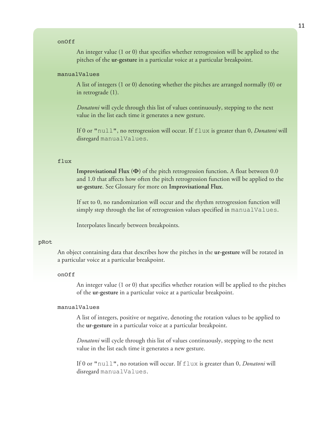#### onOff

An integer value (1 or 0) that specifies whether retrogression will be applied to the pitches of the **ur-gesture** in a particular voice at a particular breakpoint.

#### manualValues

A list of integers (1 or 0) denoting whether the pitches are arranged normally (0) or in retrograde (1).

*Donatoni* will cycle through this list of values continuously, stepping to the next value in the list each time it generates a new gesture.

If 0 or "null", no retrogression will occur. If flux is greater than 0, *Donatoni* will disregard manualValues.

### flux

**Improvisational Flux (Φ)** of the pitch retrogression function**.** A float between 0.0 and 1.0 that affects how often the pitch retrogression function will be applied to the **ur-gesture**. See Glossary for more on **Improvisational Flux**.

If set to 0, no randomization will occur and the rhythm retrogression function will simply step through the list of retrogression values specified in manualValues.

Interpolates linearly between breakpoints.

#### pRot

An object containing data that describes how the pitches in the **ur-gesture** will be rotated in a particular voice at a particular breakpoint.

#### onOff

An integer value (1 or 0) that specifies whether rotation will be applied to the pitches of the **ur-gesture** in a particular voice at a particular breakpoint.

### manualValues

A list of integers, positive or negative, denoting the rotation values to be applied to the **ur-gesture** in a particular voice at a particular breakpoint.

*Donatoni* will cycle through this list of values continuously, stepping to the next value in the list each time it generates a new gesture.

If 0 or "null", no rotation will occur. If flux is greater than 0, *Donatoni* will disregard manualValues.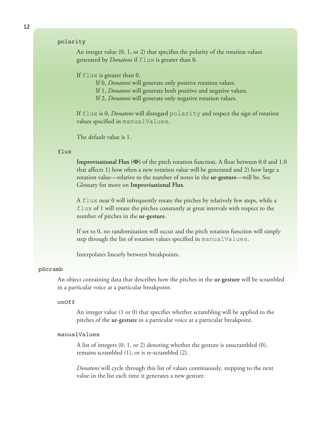### polarity

An integer value (0, 1, or 2) that specifies the polarity of the rotation values generated by *Donatoni* if flux is greater than 0.

### If  $f$ lux is greater than 0,

If 0, *Donatoni* will generate only positive rotation values.

If 1, *Donatoni* will generate both positive and negative values.

If 2, *Donatoni* will generate only negative rotation values.

If flux is 0, *Donatoni* will disregard polarity and respect the sign of rotation values specified in manualValues.

The default value is 1.

#### flux

**Improvisational Flux (Φ)** of the pitch rotation function**.** A float between 0.0 and 1.0 that affects 1) how often a new rotation value will be generated and 2) how large a rotation value—relative to the number of notes in the **ur-gesture**—will be. See Glossary for more on **Improvisational Flux**.

A flux near 0 will infrequently rotate the pitches by relatively few steps, while a flux of 1 will rotate the pitches constantly at great intervals with respect to the number of pitches in the **ur-gesture**.

If set to 0, no randomization will occur and the pitch rotation function will simply step through the list of rotation values specified in manualValues.

Interpolates linearly between breakpoints.

#### pScramb

An object containing data that describes how the pitches in the **ur-gesture** will be scrambled in a particular voice at a particular breakpoint.

#### onOff

An integer value (1 or 0) that specifies whether scrambling will be applied to the pitches of the **ur-gesture** in a particular voice at a particular breakpoint.

#### manualValues

A list of integers (0, 1, or 2) denoting whether the gesture is unscrambled (0), remains scrambled (1), or is re-scrambled (2).

*Donatoni* will cycle through this list of values continuously, stepping to the next value in the list each time it generates a new gesture.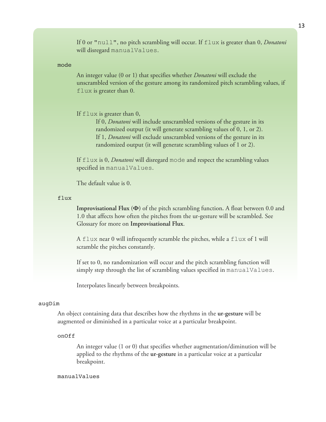If 0 or "null", no pitch scrambling will occur. If flux is greater than 0, *Donatoni* will disregard manualValues.

### mode

An integer value (0 or 1) that specifies whether *Donatoni* will exclude the unscrambled version of the gesture among its randomized pitch scrambling values, if flux is greater than 0.

### If flux is greater than 0,

If 0, *Donatoni* will include unscrambled versions of the gesture in its randomized output (it will generate scrambling values of 0, 1, or 2). If 1, *Donatoni* will exclude unscrambled versions of the gesture in its randomized output (it will generate scrambling values of 1 or 2).

If flux is 0, *Donatoni* will disregard mode and respect the scrambling values specified in manualValues.

The default value is 0.

#### flux

**Improvisational Flux (Φ)** of the pitch scrambling function**.** A float between 0.0 and 1.0 that affects how often the pitches from the ur-gesture will be scrambled. See Glossary for more on **Improvisational Flux**.

A flux near 0 will infrequently scramble the pitches, while a flux of 1 will scramble the pitches constantly.

If set to 0, no randomization will occur and the pitch scrambling function will simply step through the list of scrambling values specified in manualValues.

Interpolates linearly between breakpoints.

#### augDim

An object containing data that describes how the rhythms in the **ur-gesture** will be augmented or diminished in a particular voice at a particular breakpoint.

#### onOff

An integer value (1 or 0) that specifies whether augmentation/diminution will be applied to the rhythms of the **ur-gesture** in a particular voice at a particular breakpoint.

### manualValues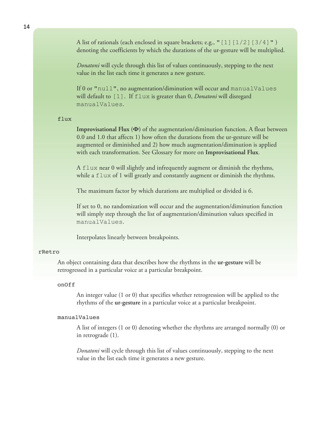A list of rationals (each enclosed in square brackets; e.g., "[1][1/2][3/4]") denoting the coefficients by which the durations of the ur-gesture will be multiplied.

*Donatoni* will cycle through this list of values continuously, stepping to the next value in the list each time it generates a new gesture.

If 0 or "null", no augmentation/diminution will occur and manualValues will default to [1]. If flux is greater than 0, *Donatoni* will disregard manualValues.

#### flux

**Improvisational Flux (Φ)** of the augmentation/diminution function**.** A float between 0.0 and 1.0 that affects 1) how often the durations from the ur-gesture will be augmented or diminished and 2) how much augmentation/diminution is applied with each transformation. See Glossary for more on **Improvisational Flux**.

A flux near 0 will slightly and infrequently augment or diminish the rhythms, while a  $f$ lux of 1 will greatly and constantly augment or diminish the rhythms.

The maximum factor by which durations are multiplied or divided is 6.

If set to 0, no randomization will occur and the augmentation/diminution function will simply step through the list of augmentation/diminution values specified in manualValues.

Interpolates linearly between breakpoints.

#### rRetro

An object containing data that describes how the rhythms in the **ur-gesture** will be retrogressed in a particular voice at a particular breakpoint.

### onOff

An integer value (1 or 0) that specifies whether retrogression will be applied to the rhythms of the **ur-gesture** in a particular voice at a particular breakpoint.

#### manualValues

A list of integers (1 or 0) denoting whether the rhythms are arranged normally (0) or in retrograde (1).

*Donatoni* will cycle through this list of values continuously, stepping to the next value in the list each time it generates a new gesture.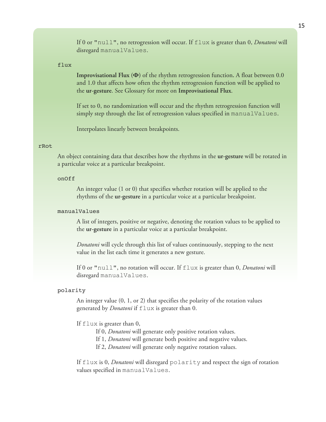If 0 or "null", no retrogression will occur. If flux is greater than 0, *Donatoni* will disregard manualValues.

### flux

**Improvisational Flux (Φ)** of the rhythm retrogression function**.** A float between 0.0 and 1.0 that affects how often the rhythm retrogression function will be applied to the **ur-gesture**. See Glossary for more on **Improvisational Flux**.

If set to 0, no randomization will occur and the rhythm retrogression function will simply step through the list of retrogression values specified in manualValues.

Interpolates linearly between breakpoints.

#### rRot

An object containing data that describes how the rhythms in the **ur-gesture** will be rotated in a particular voice at a particular breakpoint.

### onOff

An integer value (1 or 0) that specifies whether rotation will be applied to the rhythms of the **ur-gesture** in a particular voice at a particular breakpoint.

### manualValues

A list of integers, positive or negative, denoting the rotation values to be applied to the **ur-gesture** in a particular voice at a particular breakpoint.

*Donatoni* will cycle through this list of values continuously, stepping to the next value in the list each time it generates a new gesture.

If 0 or "null", no rotation will occur. If flux is greater than 0, *Donatoni* will disregard manualValues.

### polarity

An integer value (0, 1, or 2) that specifies the polarity of the rotation values generated by *Donatoni* if flux is greater than 0.

### If flux is greater than 0,

If 0, *Donatoni* will generate only positive rotation values.

If 1, *Donatoni* will generate both positive and negative values.

If 2, *Donatoni* will generate only negative rotation values.

If flux is 0, *Donatoni* will disregard polarity and respect the sign of rotation values specified in manualValues.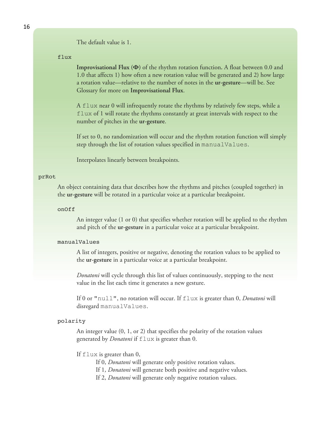The default value is 1.

flux

**Improvisational Flux (Φ)** of the rhythm rotation function**.** A float between 0.0 and 1.0 that affects 1) how often a new rotation value will be generated and 2) how large a rotation value—relative to the number of notes in the **ur-gesture**—will be. See Glossary for more on **Improvisational Flux**.

A flux near 0 will infrequently rotate the rhythms by relatively few steps, while a  $f$ lux of 1 will rotate the rhythms constantly at great intervals with respect to the number of pitches in the **ur-gesture**.

If set to 0, no randomization will occur and the rhythm rotation function will simply step through the list of rotation values specified in manualValues.

Interpolates linearly between breakpoints.

#### prRot

An object containing data that describes how the rhythms and pitches (coupled together) in the **ur-gesture** will be rotated in a particular voice at a particular breakpoint.

#### onOff

An integer value (1 or 0) that specifies whether rotation will be applied to the rhythm and pitch of the **ur-gesture** in a particular voice at a particular breakpoint.

#### manualValues

A list of integers, positive or negative, denoting the rotation values to be applied to the **ur-gesture** in a particular voice at a particular breakpoint.

*Donatoni* will cycle through this list of values continuously, stepping to the next value in the list each time it generates a new gesture.

If 0 or "null", no rotation will occur. If flux is greater than 0, *Donatoni* will disregard manualValues.

#### polarity

An integer value (0, 1, or 2) that specifies the polarity of the rotation values generated by *Donatoni* if flux is greater than 0.

### If flux is greater than 0,

If 0, *Donatoni* will generate only positive rotation values.

If 1, *Donatoni* will generate both positive and negative values.

If 2, *Donatoni* will generate only negative rotation values.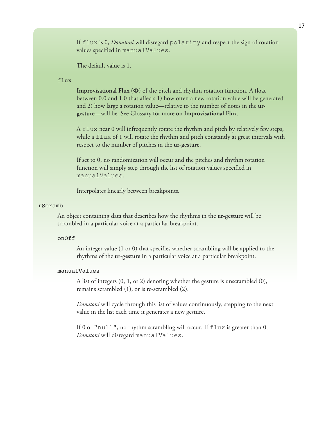If flux is 0, *Donatoni* will disregard polarity and respect the sign of rotation values specified in manualValues.

The default value is 1.

#### flux

**Improvisational Flux (Φ)** of the pitch and rhythm rotation function**.** A float between 0.0 and 1.0 that affects 1) how often a new rotation value will be generated and 2) how large a rotation value—relative to the number of notes in the **urgesture**—will be. See Glossary for more on **Improvisational Flux**.

A flux near 0 will infrequently rotate the rhythm and pitch by relatively few steps, while a  $\text{flux of 1 will rotate the rhythm and pitch constantly at great intervals with}$ respect to the number of pitches in the **ur-gesture**.

If set to 0, no randomization will occur and the pitches and rhythm rotation function will simply step through the list of rotation values specified in manualValues.

Interpolates linearly between breakpoints.

### rScramb

An object containing data that describes how the rhythms in the **ur-gesture** will be scrambled in a particular voice at a particular breakpoint.

#### onOff

An integer value (1 or 0) that specifies whether scrambling will be applied to the rhythms of the **ur-gesture** in a particular voice at a particular breakpoint.

#### manualValues

A list of integers (0, 1, or 2) denoting whether the gesture is unscrambled (0), remains scrambled (1), or is re-scrambled (2).

*Donatoni* will cycle through this list of values continuously, stepping to the next value in the list each time it generates a new gesture.

If 0 or "null", no rhythm scrambling will occur. If flux is greater than 0, *Donatoni* will disregard manualValues.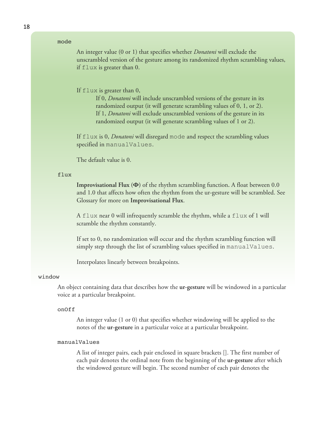### mode

An integer value (0 or 1) that specifies whether *Donatoni* will exclude the unscrambled version of the gesture among its randomized rhythm scrambling values, if flux is greater than 0.

If flux is greater than 0,

If 0, *Donatoni* will include unscrambled versions of the gesture in its randomized output (it will generate scrambling values of 0, 1, or 2). If 1, *Donatoni* will exclude unscrambled versions of the gesture in its randomized output (it will generate scrambling values of 1 or 2).

If flux is 0, *Donatoni* will disregard mode and respect the scrambling values specified in manualValues.

The default value is 0.

#### flux

**Improvisational Flux (Φ)** of the rhythm scrambling function**.** A float between 0.0 and 1.0 that affects how often the rhythm from the ur-gesture will be scrambled. See Glossary for more on **Improvisational Flux**.

A flux near 0 will infrequently scramble the rhythm, while a flux of 1 will scramble the rhythm constantly.

If set to 0, no randomization will occur and the rhythm scrambling function will simply step through the list of scrambling values specified in manualValues.

Interpolates linearly between breakpoints.

#### window

An object containing data that describes how the **ur-gesture** will be windowed in a particular voice at a particular breakpoint.

#### onOff

An integer value (1 or 0) that specifies whether windowing will be applied to the notes of the **ur-gesture** in a particular voice at a particular breakpoint.

### manualValues

A list of integer pairs, each pair enclosed in square brackets []. The first number of each pair denotes the ordinal note from the beginning of the **ur-gesture** after which the windowed gesture will begin. The second number of each pair denotes the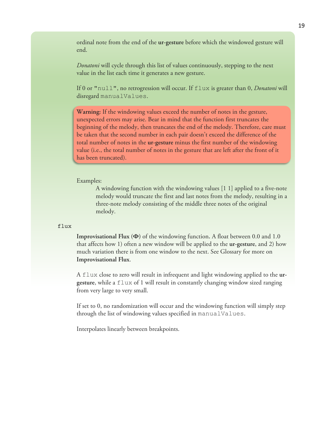ordinal note from the end of the **ur-gesture** before which the windowed gesture will end.

*Donatoni* will cycle through this list of values continuously, stepping to the next value in the list each time it generates a new gesture.

If 0 or "null", no retrogression will occur. If flux is greater than 0, *Donatoni* will disregard manualValues.

**Warning:** If the windowing values exceed the number of notes in the gesture, unexpected errors may arise. Bear in mind that the function first truncates the beginning of the melody, then truncates the end of the melody. Therefore, care must be taken that the second number in each pair doesn't exceed the difference of the total number of notes in the **ur-gesture** minus the first number of the windowing value (i.e., the total number of notes in the gesture that are left after the front of it has been truncated).

Examples:

A windowing function with the windowing values [1 1] applied to a five-note melody would truncate the first and last notes from the melody, resulting in a three-note melody consisting of the middle three notes of the original melody.

### flux

**Improvisational Flux (Φ)** of the windowing function**.** A float between 0.0 and 1.0 that affects how 1) often a new window will be applied to the **ur-gesture**, and 2) how much variation there is from one window to the next. See Glossary for more on **Improvisational Flux**.

A flux close to zero will result in infrequent and light windowing applied to the **urgesture**, while a flux of 1 will result in constantly changing window sized ranging from very large to very small.

If set to 0, no randomization will occur and the windowing function will simply step through the list of windowing values specified in manualValues.

Interpolates linearly between breakpoints.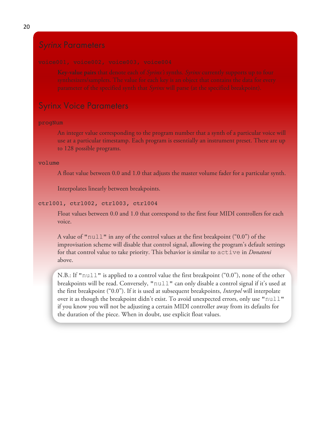## Syrinx Voice Parameters

### progNum

An integer value corresponding to the program number that a synth of a particular voice will use at a particular timestamp. Each program is essentially an instrument preset. There are up to 128 possible programs.

### volume

A float value between 0.0 and 1.0 that adjusts the master volume fader for a particular synth.

Interpolates linearly between breakpoints.

### ctrl001, ctrl002, ctrl003, ctrl004

Float values between 0.0 and 1.0 that correspond to the first four MIDI controllers for each voice.

A value of "null" in any of the control values at the first breakpoint (" $0.0$ ") of the improvisation scheme will disable that control signal, allowing the program's default settings for that control value to take priority. This behavior is similar to active in *Donatoni* above.

N.B.: If "null" is applied to a control value the first breakpoint ("0.0"), none of the other breakpoints will be read. Conversely, "null" can only disable a control signal if it's used at the first breakpoint ("0.0"). If it is used at subsequent breakpoints, *Interpol* will interpolate over it as though the breakpoint didn't exist. To avoid unexpected errors, only use "null" if you know you will not be adjusting a certain MIDI controller away from its defaults for the duration of the piece. When in doubt, use explicit float values.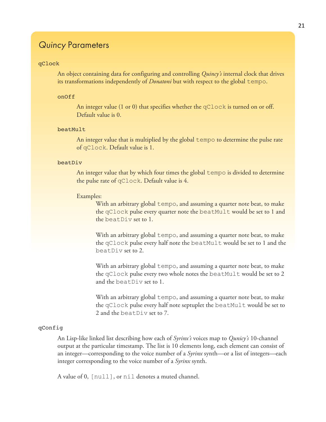## *Quincy* Parameters

#### qClock

An object containing data for configuring and controlling *Quincy's* internal clock that drives its transformations independently of *Donatoni* but with respect to the global tempo.

### onOff

An integer value (1 or 0) that specifies whether the  $qClock$  is turned on or off. Default value is 0.

### beatMult

An integer value that is multiplied by the global tempo to determine the pulse rate of qClock. Default value is 1.

### beatDiv

An integer value that by which four times the global tempo is divided to determine the pulse rate of qClock. Default value is 4.

### Examples:

With an arbitrary global tempo, and assuming a quarter note beat, to make the qClock pulse every quarter note the beatMult would be set to 1 and the beatDiv set to 1.

With an arbitrary global tempo, and assuming a quarter note beat, to make the qClock pulse every half note the beatMult would be set to 1 and the beatDiv set to 2.

With an arbitrary global tempo, and assuming a quarter note beat, to make the qClock pulse every two whole notes the beatMult would be set to 2 and the beatDiv set to 1.

With an arbitrary global tempo, and assuming a quarter note beat, to make the qClock pulse every half note septuplet the beatMult would be set to 2 and the beatDiv set to 7.

### qConfig

An Lisp-like linked list describing how each of *Syrinx's* voices map to *Qunicy's* 10-channel output at the particular timestamp. The list is 10 elements long, each element can consist of an integer—corresponding to the voice number of a *Syrinx* synth—or a list of integers—each integer corresponding to the voice number of a *Syrinx* synth.

A value of 0, [null], or nil denotes a muted channel.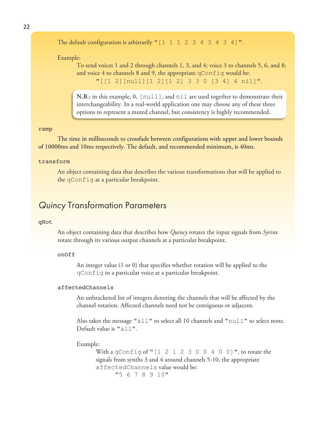22

```
The default configuration is arbitrarily "[1 \ 1 \ 1 \ 2 \ 3 \ 4 \ 3 \ 4 \ 3 \ 4]".
```
Example:

To send voices 1 and 2 through channels 1, 3, and 4; voice 3 to channels 5, 6, and 8; and voice 4 to channels 8 and 9, the appropriate  $q$ Config would be: "[[1 2][null][1 2][1 2] 3 3 0 [3 4] 4 nil]".

**N.B.:** in this example, 0, [null], and nil are used together to demonstrate their interchangeability. In a real-world application one may choose any of these three options to represent a muted channel, but consistency is highly recommended.

#### ramp

The time in milliseconds to crossfade between configurations with upper and lower bounds of 10000ms and 10ms respectively. The default, and recommended minimum, is 40ms.

### transform

An object containing data that describes the various transformations that will be applied to the qConfig at a particular breakpoint.

## *Quincy* Transformation Parameters

#### qRot

An object containing data that describes how *Quincy* rotates the input signals from *Syrinx* rotate through its various output channels at a particular breakpoint.

### onOff

An integer value (1 or 0) that specifies whether rotation will be applied to the qConfig in a particular voice at a particular breakpoint.

### affectedChannels

An unbracketed list of integers denoting the channels that will be affected by the channel rotation. Affected channels need not be contiguous or adjacent.

Also takes the message "all" to select all 10 channels and "null" to select none. Default value is "all".

#### Example:

With a qConfig of " $[1 2 1 2 3 0 0 4 0 0]$ ", to rotate the signals from synths 3 and 4 around channels 5-10, the appropriate affectedChannels value would be: "5 6 7 8 9 10"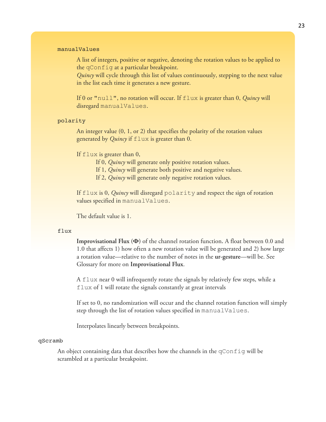### manualValues

A list of integers, positive or negative, denoting the rotation values to be applied to the qConfig at a particular breakpoint.

*Quincy* will cycle through this list of values continuously, stepping to the next value in the list each time it generates a new gesture.

If 0 or "null", no rotation will occur. If flux is greater than 0, *Quincy* will disregard manualValues.

#### polarity

An integer value (0, 1, or 2) that specifies the polarity of the rotation values generated by *Quincy* if flux is greater than 0.

#### If  $f$ lux is greater than 0,

If 0, *Quincy* will generate only positive rotation values.

If 1, *Quincy* will generate both positive and negative values.

If 2, *Quincy* will generate only negative rotation values.

If flux is 0, *Quincy* will disregard polarity and respect the sign of rotation values specified in manualValues.

The default value is 1.

#### flux

**Improvisational Flux (Φ)** of the channel rotation function**.** A float between 0.0 and 1.0 that affects 1) how often a new rotation value will be generated and 2) how large a rotation value—relative to the number of notes in the **ur-gesture**—will be. See Glossary for more on **Improvisational Flux**.

A flux near 0 will infrequently rotate the signals by relatively few steps, while a flux of 1 will rotate the signals constantly at great intervals

If set to 0, no randomization will occur and the channel rotation function will simply step through the list of rotation values specified in manualValues.

Interpolates linearly between breakpoints.

### qScramb

An object containing data that describes how the channels in the qConfig will be scrambled at a particular breakpoint.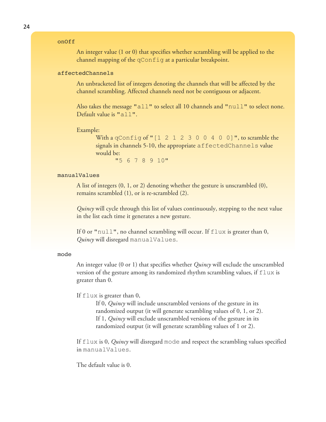### onOff

An integer value (1 or 0) that specifies whether scrambling will be applied to the channel mapping of the qConfig at a particular breakpoint.

### affectedChannels

An unbracketed list of integers denoting the channels that will be affected by the channel scrambling. Affected channels need not be contiguous or adjacent.

Also takes the message "all" to select all 10 channels and " $null"$  to select none. Default value is "all".

#### Example:

With a qConfig of " $[1 2 1 2 3 0 0 4 0 0]$ ", to scramble the signals in channels 5-10, the appropriate affectedChannels value would be:

"5 6 7 8 9 10"

### manualValues

A list of integers (0, 1, or 2) denoting whether the gesture is unscrambled (0), remains scrambled (1), or is re-scrambled (2).

*Quincy* will cycle through this list of values continuously, stepping to the next value in the list each time it generates a new gesture.

If 0 or "null", no channel scrambling will occur. If flux is greater than 0, *Quincy* will disregard manualValues.

#### mode

An integer value (0 or 1) that specifies whether *Quincy* will exclude the unscrambled version of the gesture among its randomized rhythm scrambling values, if  $flux$  is greater than 0.

If flux is greater than 0,

If 0, *Quincy* will include unscrambled versions of the gesture in its randomized output (it will generate scrambling values of 0, 1, or 2). If 1, *Quincy* will exclude unscrambled versions of the gesture in its randomized output (it will generate scrambling values of 1 or 2).

If flux is 0, *Quincy* will disregard mode and respect the scrambling values specified in manualValues.

The default value is 0.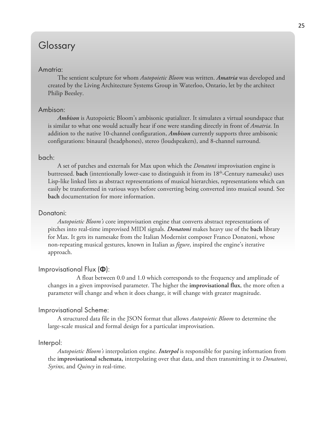# Glossary

## Amatria:

The sentient sculpture for whom *Autopoietic Bloom* was written. *Amatria* was developed and created by the Living Architecture Systems Group in Waterloo, Ontario, let by the architect Philip Beesley.

### Ambison:

*Ambison* is Autopoietic Bloom's ambisonic spatializer. It simulates a virtual soundspace that is similar to what one would actually hear if one were standing directly in front of *Amatria*. In addition to the native 10-channel configuration, *Ambison* currently supports three ambisonic configurations: binaural (headphones), stereo (loudspeakers), and 8-channel surround.

### bach:

A set of patches and externals for Max upon which the *Donatoni* improvisation engine is buttressed. **bach** (intentionally lower-case to distinguish it from its 18th-Century namesake) uses Lisp-like linked lists as abstract representations of musical hierarchies, representations which can easily be transformed in various ways before converting being converted into musical sound. See **bach** documentation for more information.

### Donatoni:

*Autopoietic Bloom's* core improvisation engine that converts abstract representations of pitches into real-time improvised MIDI signals. *Donatoni* makes heavy use of the **bach** library for Max. It gets its namesake from the Italian Modernist composer Franco Donatoni, whose non-repeating musical gestures, known in Italian as *figure*, inspired the engine's iterative approach.

### Improvisational Flux (**Φ**):

A float between 0.0 and 1.0 which corresponds to the frequency and amplitude of changes in a given improvised parameter. The higher the **improvisational flux**, the more often a parameter will change and when it does change, it will change with greater magnitude.

### Improvisational Scheme:

A structured data file in the JSON format that allows *Autopoietic Bloom* to determine the large-scale musical and formal design for a particular improvisation.

### Interpol:

*Autopoietic Bloom's* interpolation engine. *Interpol* is responsible for parsing information from the **improvisational schemata,** interpolating over that data, and then transmitting it to *Donatoni*, *Syrinx*, and *Quincy* in real-time.